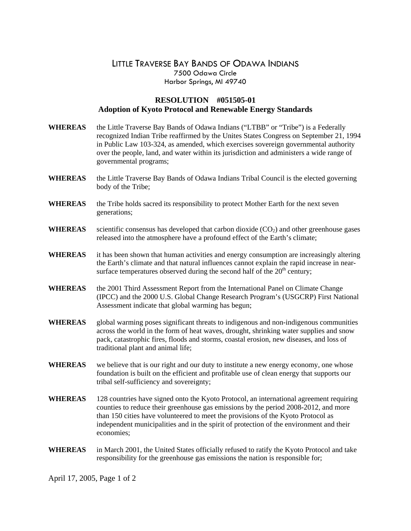## LITTLE TRAVERSE BAY BANDS OF ODAWA INDIANS 7500 Odawa Circle Harbor Springs, MI 49740

## **RESOLUTION #051505-01 Adoption of Kyoto Protocol and Renewable Energy Standards**

| <b>WHEREAS</b> | the Little Traverse Bay Bands of Odawa Indians ("LTBB" or "Tribe") is a Federally<br>recognized Indian Tribe reaffirmed by the Unites States Congress on September 21, 1994<br>in Public Law 103-324, as amended, which exercises sovereign governmental authority<br>over the people, land, and water within its jurisdiction and administers a wide range of<br>governmental programs; |  |  |  |
|----------------|------------------------------------------------------------------------------------------------------------------------------------------------------------------------------------------------------------------------------------------------------------------------------------------------------------------------------------------------------------------------------------------|--|--|--|
| <b>WHEREAS</b> | the Little Traverse Bay Bands of Odawa Indians Tribal Council is the elected governing<br>body of the Tribe;                                                                                                                                                                                                                                                                             |  |  |  |
| <b>WHEREAS</b> | the Tribe holds sacred its responsibility to protect Mother Earth for the next seven<br>generations;                                                                                                                                                                                                                                                                                     |  |  |  |
| <b>WHEREAS</b> | scientific consensus has developed that carbon dioxide $(CO2)$ and other greenhouse gases<br>released into the atmosphere have a profound effect of the Earth's climate;                                                                                                                                                                                                                 |  |  |  |
| <b>WHEREAS</b> | it has been shown that human activities and energy consumption are increasingly altering<br>the Earth's climate and that natural influences cannot explain the rapid increase in near-<br>surface temperatures observed during the second half of the 20 <sup>th</sup> century;                                                                                                          |  |  |  |
| <b>WHEREAS</b> | the 2001 Third Assessment Report from the International Panel on Climate Change<br>(IPCC) and the 2000 U.S. Global Change Research Program's (USGCRP) First National<br>Assessment indicate that global warming has begun;                                                                                                                                                               |  |  |  |
| <b>WHEREAS</b> | global warming poses significant threats to indigenous and non-indigenous communities<br>across the world in the form of heat waves, drought, shrinking water supplies and snow<br>pack, catastrophic fires, floods and storms, coastal erosion, new diseases, and loss of<br>traditional plant and animal life;                                                                         |  |  |  |
| <b>WHEREAS</b> | we believe that is our right and our duty to institute a new energy economy, one whose<br>foundation is built on the efficient and profitable use of clean energy that supports our<br>tribal self-sufficiency and sovereignty;                                                                                                                                                          |  |  |  |
| <b>WHEREAS</b> | 128 countries have signed onto the Kyoto Protocol, an international agreement requiring<br>counties to reduce their greenhouse gas emissions by the period 2008-2012, and more                                                                                                                                                                                                           |  |  |  |

- counties to reduce their greenhouse gas emissions by the period 2008-2012, and more than 150 cities have volunteered to meet the provisions of the Kyoto Protocol as independent municipalities and in the spirit of protection of the environment and their economies;
- **WHEREAS** in March 2001, the United States officially refused to ratify the Kyoto Protocol and take responsibility for the greenhouse gas emissions the nation is responsible for;

April 17, 2005, Page 1 of 2